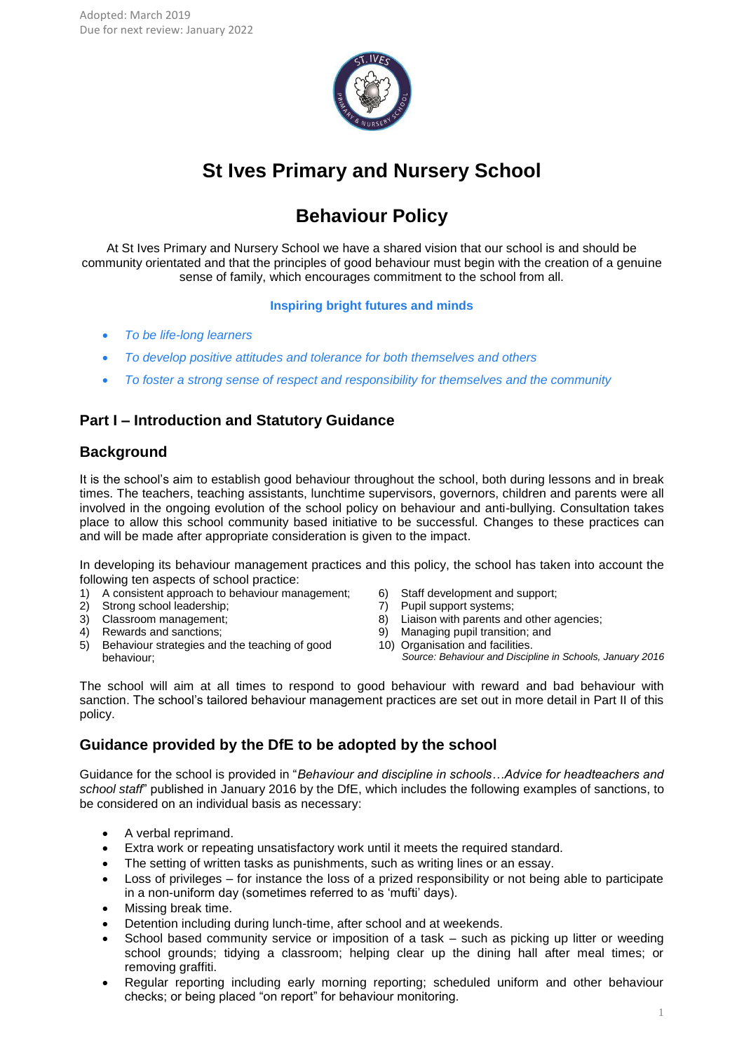

# **St Ives Primary and Nursery School**

# **Behaviour Policy**

At St Ives Primary and Nursery School we have a shared vision that our school is and should be community orientated and that the principles of good behaviour must begin with the creation of a genuine sense of family, which encourages commitment to the school from all.

# **Inspiring bright futures and minds**

- *To be life-long learners*
- *To develop positive attitudes and tolerance for both themselves and others*
- *To foster a strong sense of respect and responsibility for themselves and the community*

# **Part I – Introduction and Statutory Guidance**

# **Background**

It is the school's aim to establish good behaviour throughout the school, both during lessons and in break times. The teachers, teaching assistants, lunchtime supervisors, governors, children and parents were all involved in the ongoing evolution of the school policy on behaviour and anti-bullying. Consultation takes place to allow this school community based initiative to be successful. Changes to these practices can and will be made after appropriate consideration is given to the impact.

In developing its behaviour management practices and this policy, the school has taken into account the following ten aspects of school practice:

- 1) A consistent approach to behaviour management;
- 2) Strong school leadership;
- 3) Classroom management;
- 4) Rewards and sanctions;
- 5) Behaviour strategies and the teaching of good behaviour;
- 6) Staff development and support;
- 7) Pupil support systems;
- 8) Liaison with parents and other agencies;
- 9) Managing pupil transition; and
- 10) Organisation and facilities.

*Source: Behaviour and Discipline in Schools, January 2016*

The school will aim at all times to respond to good behaviour with reward and bad behaviour with sanction. The school's tailored behaviour management practices are set out in more detail in Part II of this policy.

# **Guidance provided by the DfE to be adopted by the school**

Guidance for the school is provided in "*Behaviour and discipline in schools…Advice for headteachers and school staff*" published in January 2016 by the DfE, which includes the following examples of sanctions, to be considered on an individual basis as necessary:

- A verbal reprimand.
- Extra work or repeating unsatisfactory work until it meets the required standard.
- The setting of written tasks as punishments, such as writing lines or an essay.
- Loss of privileges for instance the loss of a prized responsibility or not being able to participate in a non-uniform day (sometimes referred to as 'mufti' days).
- Missing break time.
- Detention including during lunch-time, after school and at weekends.
- School based community service or imposition of a task such as picking up litter or weeding school grounds; tidying a classroom; helping clear up the dining hall after meal times; or removing graffiti.
- Regular reporting including early morning reporting; scheduled uniform and other behaviour checks; or being placed "on report" for behaviour monitoring.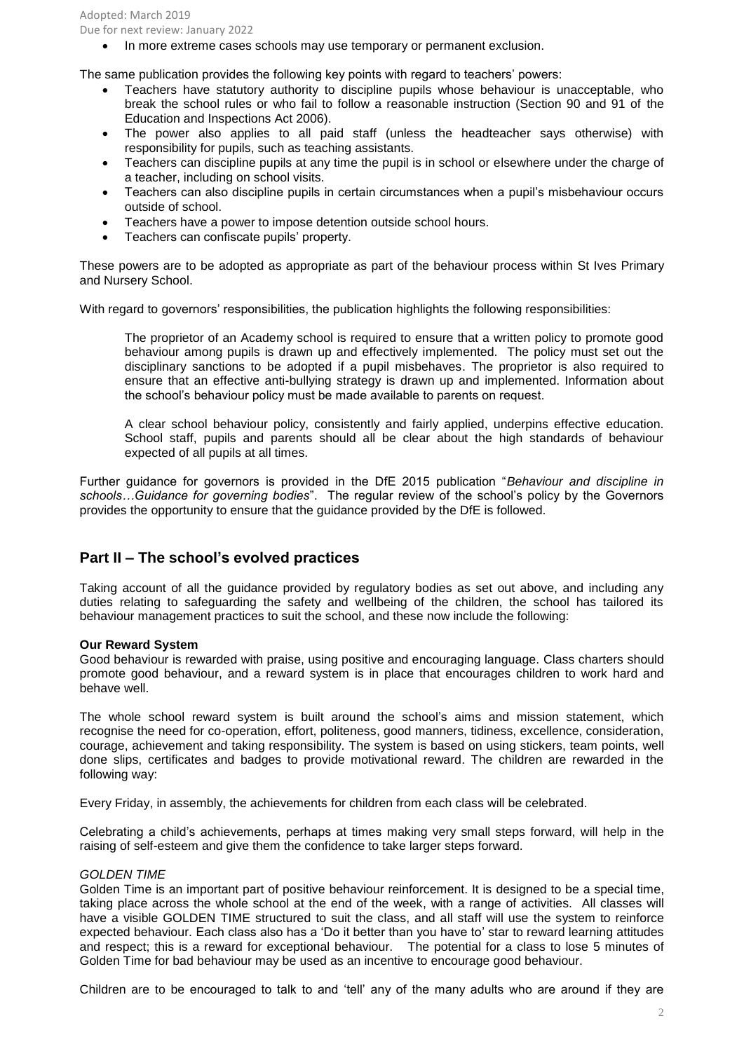Adopted: March 2019 Due for next review: January 2022

• In more extreme cases schools may use temporary or permanent exclusion.

The same publication provides the following key points with regard to teachers' powers:

- Teachers have statutory authority to discipline pupils whose behaviour is unacceptable, who break the school rules or who fail to follow a reasonable instruction (Section 90 and 91 of the Education and Inspections Act 2006).
- The power also applies to all paid staff (unless the headteacher says otherwise) with responsibility for pupils, such as teaching assistants.
- Teachers can discipline pupils at any time the pupil is in school or elsewhere under the charge of a teacher, including on school visits.
- Teachers can also discipline pupils in certain circumstances when a pupil's misbehaviour occurs outside of school.
- Teachers have a power to impose detention outside school hours.
- Teachers can confiscate pupils' property.

These powers are to be adopted as appropriate as part of the behaviour process within St Ives Primary and Nursery School.

With regard to governors' responsibilities, the publication highlights the following responsibilities:

The proprietor of an Academy school is required to ensure that a written policy to promote good behaviour among pupils is drawn up and effectively implemented. The policy must set out the disciplinary sanctions to be adopted if a pupil misbehaves. The proprietor is also required to ensure that an effective anti-bullying strategy is drawn up and implemented. Information about the school's behaviour policy must be made available to parents on request.

A clear school behaviour policy, consistently and fairly applied, underpins effective education. School staff, pupils and parents should all be clear about the high standards of behaviour expected of all pupils at all times.

Further guidance for governors is provided in the DfE 2015 publication "*Behaviour and discipline in schools…Guidance for governing bodies*". The regular review of the school's policy by the Governors provides the opportunity to ensure that the guidance provided by the DfE is followed.

# **Part II – The school's evolved practices**

Taking account of all the guidance provided by regulatory bodies as set out above, and including any duties relating to safeguarding the safety and wellbeing of the children, the school has tailored its behaviour management practices to suit the school, and these now include the following:

## **Our Reward System**

Good behaviour is rewarded with praise, using positive and encouraging language. Class charters should promote good behaviour, and a reward system is in place that encourages children to work hard and behave well.

The whole school reward system is built around the school's aims and mission statement, which recognise the need for co-operation, effort, politeness, good manners, tidiness, excellence, consideration, courage, achievement and taking responsibility. The system is based on using stickers, team points, well done slips, certificates and badges to provide motivational reward. The children are rewarded in the following way:

Every Friday, in assembly, the achievements for children from each class will be celebrated.

Celebrating a child's achievements, perhaps at times making very small steps forward, will help in the raising of self-esteem and give them the confidence to take larger steps forward.

## *GOLDEN TIME*

Golden Time is an important part of positive behaviour reinforcement. It is designed to be a special time, taking place across the whole school at the end of the week, with a range of activities. All classes will have a visible GOLDEN TIME structured to suit the class, and all staff will use the system to reinforce expected behaviour. Each class also has a 'Do it better than you have to' star to reward learning attitudes and respect; this is a reward for exceptional behaviour. The potential for a class to lose 5 minutes of Golden Time for bad behaviour may be used as an incentive to encourage good behaviour.

Children are to be encouraged to talk to and 'tell' any of the many adults who are around if they are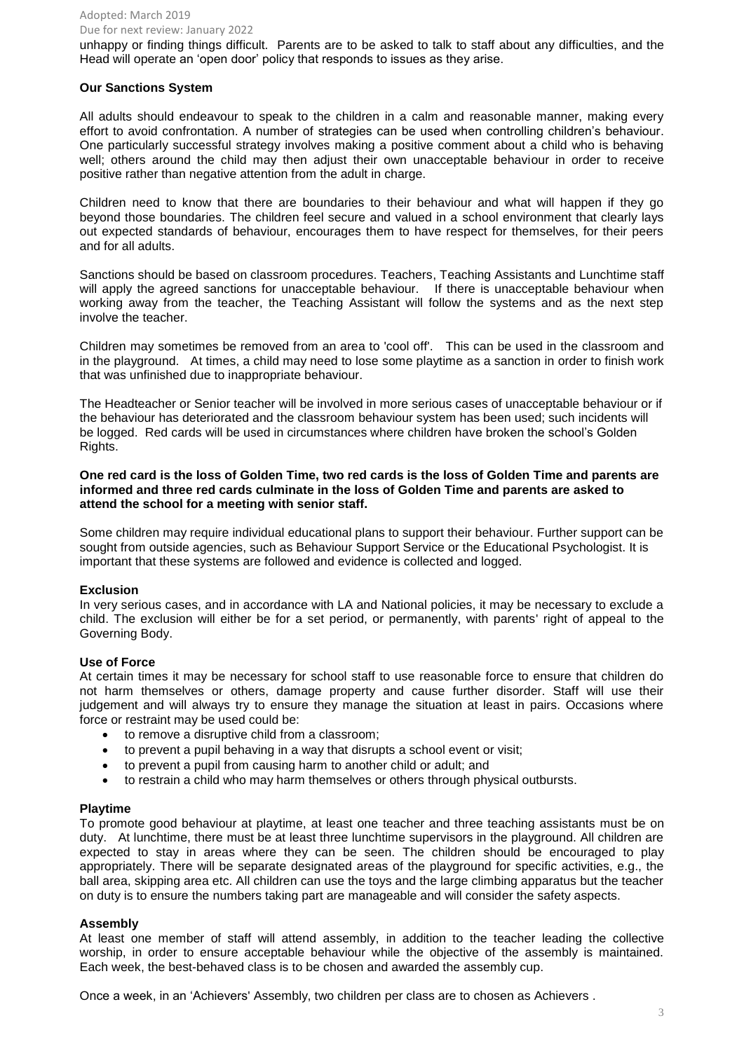#### Adopted: March 2019 Due for next review: January 2022

unhappy or finding things difficult. Parents are to be asked to talk to staff about any difficulties, and the Head will operate an 'open door' policy that responds to issues as they arise.

# **Our Sanctions System**

All adults should endeavour to speak to the children in a calm and reasonable manner, making every effort to avoid confrontation. A number of strategies can be used when controlling children's behaviour. One particularly successful strategy involves making a positive comment about a child who is behaving well; others around the child may then adjust their own unacceptable behaviour in order to receive positive rather than negative attention from the adult in charge.

Children need to know that there are boundaries to their behaviour and what will happen if they go beyond those boundaries. The children feel secure and valued in a school environment that clearly lays out expected standards of behaviour, encourages them to have respect for themselves, for their peers and for all adults.

Sanctions should be based on classroom procedures. Teachers, Teaching Assistants and Lunchtime staff will apply the agreed sanctions for unacceptable behaviour. If there is unacceptable behaviour when working away from the teacher, the Teaching Assistant will follow the systems and as the next step involve the teacher.

Children may sometimes be removed from an area to 'cool off'. This can be used in the classroom and in the playground. At times, a child may need to lose some playtime as a sanction in order to finish work that was unfinished due to inappropriate behaviour.

The Headteacher or Senior teacher will be involved in more serious cases of unacceptable behaviour or if the behaviour has deteriorated and the classroom behaviour system has been used; such incidents will be logged. Red cards will be used in circumstances where children have broken the school's Golden Rights.

**One red card is the loss of Golden Time, two red cards is the loss of Golden Time and parents are informed and three red cards culminate in the loss of Golden Time and parents are asked to attend the school for a meeting with senior staff.** 

Some children may require individual educational plans to support their behaviour. Further support can be sought from outside agencies, such as Behaviour Support Service or the Educational Psychologist. It is important that these systems are followed and evidence is collected and logged.

## **Exclusion**

In very serious cases, and in accordance with LA and National policies, it may be necessary to exclude a child. The exclusion will either be for a set period, or permanently, with parents' right of appeal to the Governing Body.

## **Use of Force**

At certain times it may be necessary for school staff to use reasonable force to ensure that children do not harm themselves or others, damage property and cause further disorder. Staff will use their judgement and will always try to ensure they manage the situation at least in pairs. Occasions where force or restraint may be used could be:

- to remove a disruptive child from a classroom;
- to prevent a pupil behaving in a way that disrupts a school event or visit;
- to prevent a pupil from causing harm to another child or adult; and
- to restrain a child who may harm themselves or others through physical outbursts.

## **Playtime**

To promote good behaviour at playtime, at least one teacher and three teaching assistants must be on duty. At lunchtime, there must be at least three lunchtime supervisors in the playground. All children are expected to stay in areas where they can be seen. The children should be encouraged to play appropriately. There will be separate designated areas of the playground for specific activities, e.g., the ball area, skipping area etc. All children can use the toys and the large climbing apparatus but the teacher on duty is to ensure the numbers taking part are manageable and will consider the safety aspects.

## **Assembly**

At least one member of staff will attend assembly, in addition to the teacher leading the collective worship, in order to ensure acceptable behaviour while the objective of the assembly is maintained. Each week, the best-behaved class is to be chosen and awarded the assembly cup.

Once a week, in an 'Achievers' Assembly, two children per class are to chosen as Achievers .